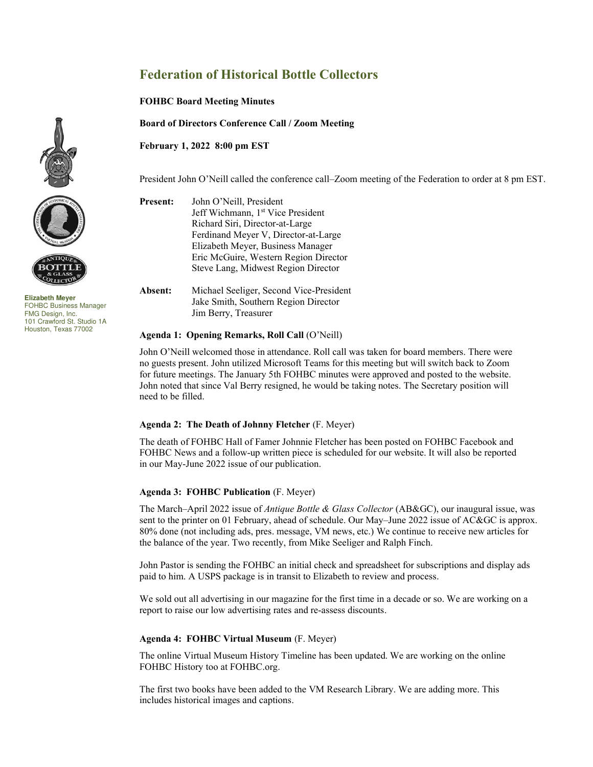# **Federation of Historical Bottle Collectors**

**FOHBC Board Meeting Minutes** 

**Board of Directors Conference Call / Zoom Meeting** 

**February 1, 2022 8:00 pm EST** 

President John O'Neill called the conference call–Zoom meeting of the Federation to order at 8 pm EST.





**Elizabeth Meyer**  FOHBC Business Manager FMG Design, Inc. 101 Crawford St. Studio 1A Houston, Texas 77002

**Present:** John O'Neill, President Jeff Wichmann, 1<sup>st</sup> Vice President Richard Siri, Director-at-Large Ferdinand Meyer V, Director-at-Large Elizabeth Meyer, Business Manager Eric McGuire, Western Region Director Steve Lang, Midwest Region Director

**Absent:** Michael Seeliger, Second Vice-President Jake Smith, Southern Region Director Jim Berry, Treasurer

#### **Agenda 1: Opening Remarks, Roll Call** (O'Neill)

John O'Neill welcomed those in attendance. Roll call was taken for board members. There were no guests present. John utilized Microsoft Teams for this meeting but will switch back to Zoom for future meetings. The January 5th FOHBC minutes were approved and posted to the website. John noted that since Val Berry resigned, he would be taking notes. The Secretary position will need to be filled.

### **Agenda 2: The Death of Johnny Fletcher** (F. Meyer)

The death of FOHBC Hall of Famer Johnnie Fletcher has been posted on FOHBC Facebook and FOHBC News and a follow-up written piece is scheduled for our website. It will also be reported in our May-June 2022 issue of our publication.

### **Agenda 3: FOHBC Publication** (F. Meyer)

The March–April 2022 issue of *Antique Bottle & Glass Collector* (AB&GC), our inaugural issue, was sent to the printer on 01 February, ahead of schedule. Our May–June 2022 issue of AC&GC is approx. 80% done (not including ads, pres. message, VM news, etc.) We continue to receive new articles for the balance of the year. Two recently, from Mike Seeliger and Ralph Finch.

John Pastor is sending the FOHBC an initial check and spreadsheet for subscriptions and display ads paid to him. A USPS package is in transit to Elizabeth to review and process.

We sold out all advertising in our magazine for the first time in a decade or so. We are working on a report to raise our low advertising rates and re-assess discounts.

### **Agenda 4: FOHBC Virtual Museum** (F. Meyer)

The onlin[e Virtual Museum History Timeline](https://fohbcvirtualmuseum.org/about/history/) has been updated. We are working on the online [FOHBC History](https://www.fohbc.org/fohbc-history/) too at FOHBC.org.

The first two books have been added to th[e VM Research Library.](https://fohbcvirtualmuseum.org/research/) We are adding more. This includes historical images and captions.